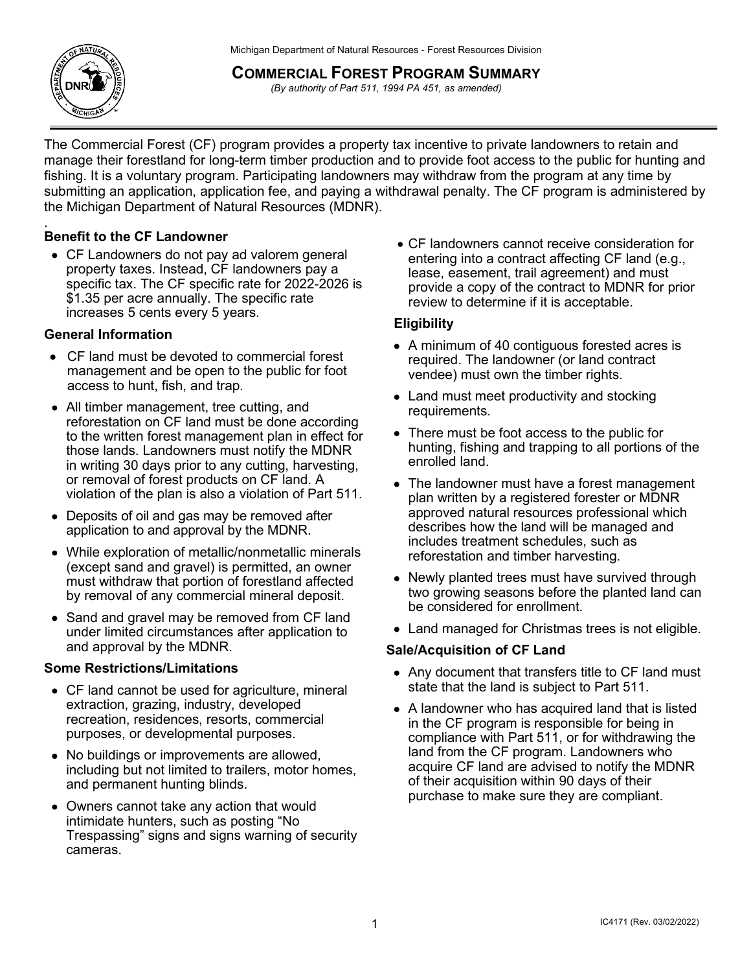Michigan Department of Natural Resources - Forest Resources Division



# **COMMERCIAL FOREST PROGRAM SUMMARY**

*(By authority of Part 511, 1994 PA 451, as amended)*

The Commercial Forest (CF) program provides a property tax incentive to private landowners to retain and manage their forestland for long-term timber production and to provide foot access to the public for hunting and fishing. It is a voluntary program. Participating landowners may withdraw from the program at any time by submitting an application, application fee, and paying a withdrawal penalty. The CF program is administered by the Michigan Department of Natural Resources (MDNR).

#### . **Benefit to the CF Landowner**

• CF Landowners do not pay ad valorem general property taxes. Instead, CF landowners pay a specific tax. The CF specific rate for 2022-2 026 is \$1.35 per acre annually. The specific rate increases 5 cents every 5 years.

## **General Information**

- CF land must be devoted to commercial forest management and be open to the public for foot access to hunt, fish, and trap.
- All timber management, tree cutting, and reforestation on CF land must be done according to the written forest management plan in effect for those lands. Landowners must notify the MDNR in writing 30 days prior to any cutting, harvesting, or removal of forest products on CF land. A violation of the plan is also a violation of Part 511.
- Deposits of oil and gas may be removed after application to and approval by the MDNR.
- While exploration of metallic/nonmetallic minerals (except sand and gravel) is permitted, an owner must withdraw that portion of forestland affected by removal of any commercial mineral deposit.
- Sand and gravel may be removed from CF land under limited circumstances after application to and approval by the MDNR.

## **Some Restrictions/Limitations**

- CF land cannot be used for agriculture, mineral extraction, grazing, industry, developed recreation, residences, resorts, commercial purposes, or developmental purposes.
- No buildings or improvements are allowed, including but not limited to trailers, motor homes, and permanent hunting blinds.
- Owners cannot take any action that would intimidate hunters, such as posting "No Trespassing" signs and signs warning of security cameras.

• CF landowners cannot receive consideration for entering into a contract affecting CF land (e.g., lease, easement, trail agreement) and must provide a copy of the contract to MDNR for prior review to determine if it is acceptable.

## **Eligibility**

- A minimum of 40 contiguous forested acres is required. The landowner (or land contract vendee) must own the timber rights.
- Land must meet productivity and stocking requirements.
- There must be foot access to the public for hunting, fishing and trapping to all portions of the enrolled land.
- The landowner must have a forest management plan written by a registered forester or MDNR approved natural resources professional which describes how the land will be managed and includes treatment schedules, such as reforestation and timber harvesting.
- Newly planted trees must have survived through two growing seasons before the planted land can be considered for enrollment.
- Land managed for Christmas trees is not eligible.

## **Sale/Acquisition of CF Land**

- Any document that transfers title to CF land must state that the land is subject to Part 511.
- A landowner who has acquired land that is listed in the CF program is responsible for being in compliance with Part 511, or for withdrawing the land from the CF program. Landowners who acquire CF land are advised to notify the MDNR of their acquisition within 90 days of their purchase to make sure they are compliant.